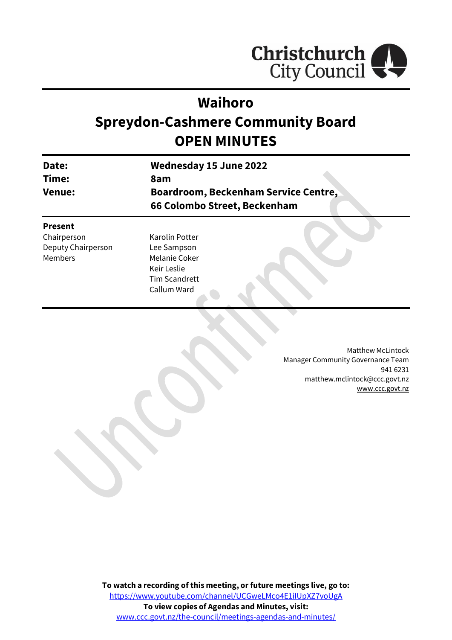

# **Waihoro**

# **Spreydon-Cashmere Community Board OPEN MINUTES**

| Date:  | Wednesday 15 June 2022                      |
|--------|---------------------------------------------|
| Time:  | 8am                                         |
| Venue: | <b>Boardroom, Beckenham Service Centre,</b> |
|        | 66 Colombo Street, Beckenham                |
|        |                                             |

### **Present**

Chairperson Deputy Chairperson Members

Karolin Potter Lee Sampson Melanie Coker Keir Leslie Tim Scandrett Callum Ward

> Matthew McLintock Manager Community Governance Team 941 6231 matthew.mclintock@ccc.govt.nz [www.ccc.govt.nz](http://www.ccc.govt.nz/)

**To watch a recording of this meeting, or future meetings live, go to:** [https://www.youtube.com/channel/UCGweLMco4E1iIUpXZ7voUgA](https://aus01.safelinks.protection.outlook.com/?url=https%3A%2F%2Fwww.youtube.com%2Fchannel%2FUCGweLMco4E1iIUpXZ7voUgA&data=05%7C01%7CMatthew.Boult%40ccc.govt.nz%7C5a1a543348e149173c2608da3df8ac16%7C45c97e4ebd8d4ddcbd6e2d62daa2a011%7C0%7C0%7C637890435492586617%7CUnknown%7CTWFpbGZsb3d8eyJWIjoiMC4wLjAwMDAiLCJQIjoiV2luMzIiLCJBTiI6Ik1haWwiLCJXVCI6Mn0%3D%7C3000%7C%7C%7C&sdata=jbpDZlIoFgFgmJi%2BVkB0PPFVLPL7YzMdQZHlmbFQKok%3D&reserved=0) **To view copies of Agendas and Minutes, visit:** [www.ccc.govt.nz/the-council/meetings-agendas-and-minutes/](https://www.ccc.govt.nz/the-council/meetings-agendas-and-minutes/)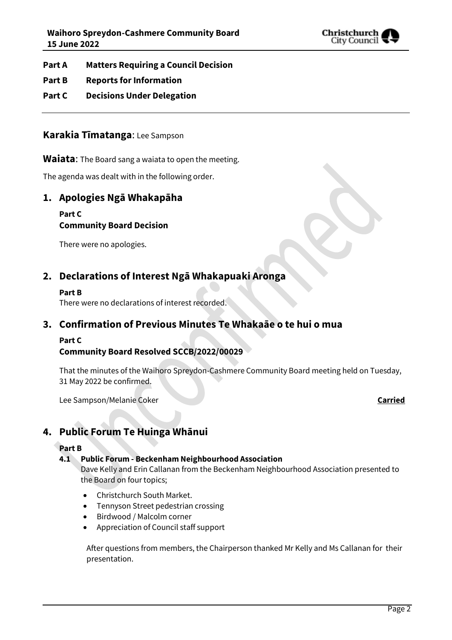

- **Part A Matters Requiring a Council Decision**
- **Part B Reports for Information**
- **Part C Decisions Under Delegation**

### **Karakia Tīmatanga**: Lee Sampson

### **Waiata**: The Board sang a waiata to open the meeting.

The agenda was dealt with in the following order.

# **1. Apologies Ngā Whakapāha**

### **Part C**

# **Community Board Decision**

There were no apologies.

# **2. Declarations of Interest Ngā Whakapuaki Aronga**

### **Part B**

There were no declarations of interest recorded.

# **3. Confirmation of Previous Minutes Te Whakaāe o te hui o mua**

### **Part C**

# **Community Board Resolved SCCB/2022/00029**

That the minutes of the Waihoro Spreydon-Cashmere Community Board meeting held on Tuesday, 31 May 2022 be confirmed.

Lee Sampson/Melanie Coker **Carried**

# **4. Public Forum Te Huinga Whānui**

### **Part B**

### **4.1 Public Forum - Beckenham Neighbourhood Association**

Dave Kelly and Erin Callanan from the Beckenham Neighbourhood Association presented to the Board on four topics;

- Christchurch South Market.
- Tennyson Street pedestrian crossing
- Birdwood / Malcolm corner
- Appreciation of Council staff support

After questions from members, the Chairperson thanked Mr Kelly and Ms Callanan for their presentation.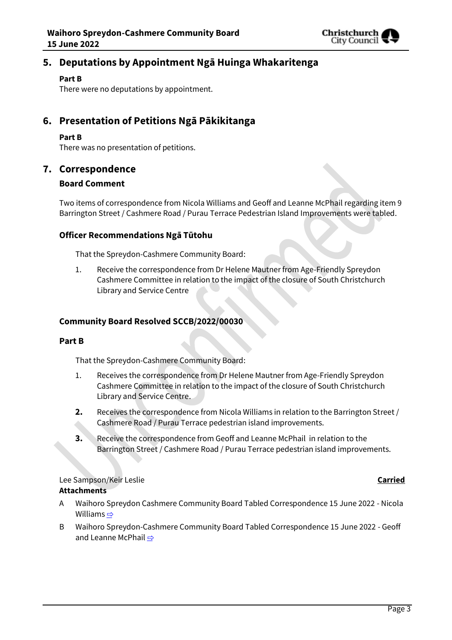

# **5. Deputations by Appointment Ngā Huinga Whakaritenga**

### **Part B**

There were no deputations by appointment.

# **6. Presentation of Petitions Ngā Pākikitanga**

### **Part B**

There was no presentation of petitions.

### **7. Correspondence**

### **Board Comment**

Two items of correspondence from Nicola Williams and Geoff and Leanne McPhail regarding item 9 Barrington Street / Cashmere Road / Purau Terrace Pedestrian Island Improvements were tabled.

### **Officer Recommendations Ngā Tūtohu**

That the Spreydon-Cashmere Community Board:

1. Receive the correspondence from Dr Helene Mautner from Age-Friendly Spreydon Cashmere Committee in relation to the impact of the closure of South Christchurch Library and Service Centre

### **Community Board Resolved SCCB/2022/00030**

### **Part B**

That the Spreydon-Cashmere Community Board:

- 1. Receives the correspondence from Dr Helene Mautner from Age-Friendly Spreydon Cashmere Committee in relation to the impact of the closure of South Christchurch Library and Service Centre.
- **2.** Receives the correspondence from Nicola Williams in relation to the Barrington Street / Cashmere Road / Purau Terrace pedestrian island improvements.
- **3.** Receive the correspondence from Geoff and Leanne McPhail in relation to the Barrington Street / Cashmere Road / Purau Terrace pedestrian island improvements.

Lee Sampson/Keir Leslie **Carried**

### **Attachments**

- A Waihoro Spreydon Cashmere Community Board Tabled Correspondence 15 June 2022 Nicola Williams  $\Rightarrow$
- B Waihoro Spreydon-Cashmere Community Board Tabled Correspondence 15 June 2022 Geoff and Leanne McPhail ⇒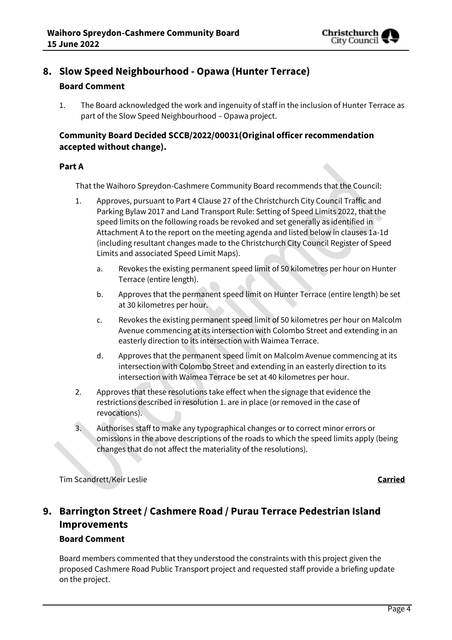

# **8. Slow Speed Neighbourhood - Opawa (Hunter Terrace)**

### **Board Comment**

1. The Board acknowledged the work and ingenuity of staff in the inclusion of Hunter Terrace as part of the Slow Speed Neighbourhood – Opawa project.

### **Community Board Decided SCCB/2022/00031(Original officer recommendation accepted without change).**

### **Part A**

That the Waihoro Spreydon-Cashmere Community Board recommends that the Council:

- 1. Approves, pursuant to Part 4 Clause 27 of the Christchurch City Council Traffic and Parking Bylaw 2017 and Land Transport Rule: Setting of Speed Limits 2022, that the speed limits on the following roads be revoked and set generally as identified in Attachment A to the report on the meeting agenda and listed below in clauses 1a-1d (including resultant changes made to the Christchurch City Council Register of Speed Limits and associated Speed Limit Maps).
	- a. Revokes the existing permanent speed limit of 50 kilometres per hour on Hunter Terrace (entire length).
	- b. Approves that the permanent speed limit on Hunter Terrace (entire length) be set at 30 kilometres per hour.
	- c. Revokes the existing permanent speed limit of 50 kilometres per hour on Malcolm Avenue commencing at its intersection with Colombo Street and extending in an easterly direction to its intersection with Waimea Terrace.
	- d. Approves that the permanent speed limit on Malcolm Avenue commencing at its intersection with Colombo Street and extending in an easterly direction to its intersection with Waimea Terrace be set at 40 kilometres per hour.
- 2. Approves that these resolutions take effect when the signage that evidence the restrictions described in resolution 1. are in place (or removed in the case of revocations).
- 3. Authorises staff to make any typographical changes or to correct minor errors or omissions in the above descriptions of the roads to which the speed limits apply (being changes that do not affect the materiality of the resolutions).

Tim Scandrett/Keir Leslie **Carried**

# **9. Barrington Street / Cashmere Road / Purau Terrace Pedestrian Island Improvements**

### **Board Comment**

Board members commented that they understood the constraints with this project given the proposed Cashmere Road Public Transport project and requested staff provide a briefing update on the project.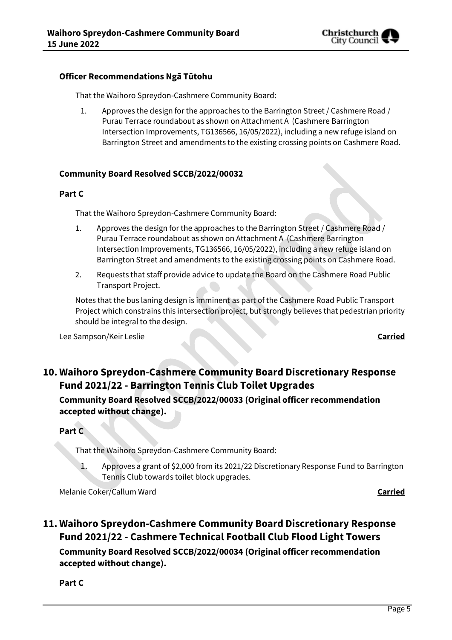

### **Officer Recommendations Ngā Tūtohu**

That the Waihoro Spreydon-Cashmere Community Board:

1. Approves the design for the approaches to the Barrington Street / Cashmere Road / Purau Terrace roundabout as shown on Attachment A (Cashmere Barrington Intersection Improvements, TG136566, 16/05/2022), including a new refuge island on Barrington Street and amendments to the existing crossing points on Cashmere Road.

### **Community Board Resolved SCCB/2022/00032**

### **Part C**

That the Waihoro Spreydon-Cashmere Community Board:

- 1. Approves the design for the approaches to the Barrington Street / Cashmere Road / Purau Terrace roundabout as shown on Attachment A (Cashmere Barrington Intersection Improvements, TG136566, 16/05/2022), including a new refuge island on Barrington Street and amendments to the existing crossing points on Cashmere Road.
- 2. Requests that staff provide advice to update the Board on the Cashmere Road Public Transport Project.

Notes that the bus laning design is imminent as part of the Cashmere Road Public Transport Project which constrains this intersection project, but strongly believes that pedestrian priority should be integral to the design.

Lee Sampson/Keir Leslie **Carried**

# **10. Waihoro Spreydon-Cashmere Community Board Discretionary Response Fund 2021/22 - Barrington Tennis Club Toilet Upgrades**

**Community Board Resolved SCCB/2022/00033 (Original officer recommendation accepted without change).**

### **Part C**

That the Waihoro Spreydon-Cashmere Community Board:

1. Approves a grant of \$2,000 from its 2021/22 Discretionary Response Fund to Barrington Tennis Club towards toilet block upgrades.

Melanie Coker/Callum Ward **Carried**

**11. Waihoro Spreydon-Cashmere Community Board Discretionary Response Fund 2021/22 - Cashmere Technical Football Club Flood Light Towers Community Board Resolved SCCB/2022/00034 (Original officer recommendation accepted without change).**

**Part C**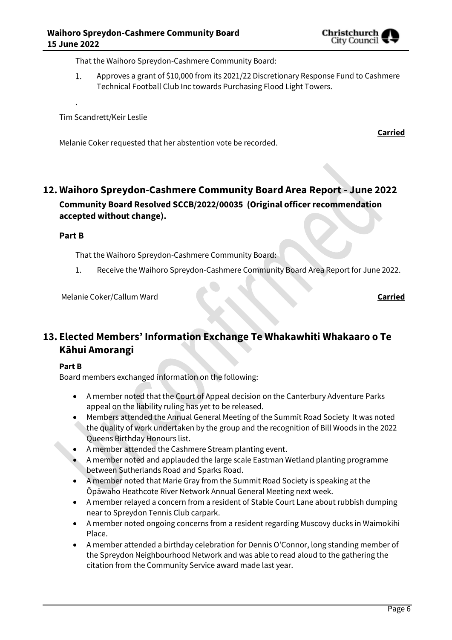That the Waihoro Spreydon-Cashmere Community Board:

 $1.$ Approves a grant of \$10,000 from its 2021/22 Discretionary Response Fund to Cashmere Technical Football Club Inc towards Purchasing Flood Light Towers.

Tim Scandrett/Keir Leslie

Melanie Coker requested that her abstention vote be recorded.

# **12. Waihoro Spreydon-Cashmere Community Board Area Report - June 2022 Community Board Resolved SCCB/2022/00035 (Original officer recommendation accepted without change).**

**Part B**

.

That the Waihoro Spreydon-Cashmere Community Board:

1. Receive the Waihoro Spreydon-Cashmere Community Board Area Report for June 2022.

Melanie Coker/Callum Ward **Carried**

**Carried**

# **13. Elected Members' Information Exchange Te Whakawhiti Whakaaro o Te Kāhui Amorangi**

### **Part B**

Board members exchanged information on the following:

- A member noted that the Court of Appeal decision on the Canterbury Adventure Parks appeal on the liability ruling has yet to be released.
- Members attended the Annual General Meeting of the Summit Road Society It was noted the quality of work undertaken by the group and the recognition of Bill Woods in the 2022 Queens Birthday Honours list.
- A member attended the Cashmere Stream planting event.
- A member noted and applauded the large scale Eastman Wetland planting programme between Sutherlands Road and Sparks Road.
- A member noted that Marie Gray from the Summit Road Society is speaking at the Ōpāwaho Heathcote River Network Annual General Meeting next week.
- A member relayed a concern from a resident of Stable Court Lane about rubbish dumping near to Spreydon Tennis Club carpark.
- A member noted ongoing concerns from a resident regarding Muscovy ducks in Waimokihi Place.
- A member attended a birthday celebration for Dennis O'Connor, long standing member of the Spreydon Neighbourhood Network and was able to read aloud to the gathering the citation from the Community Service award made last year.